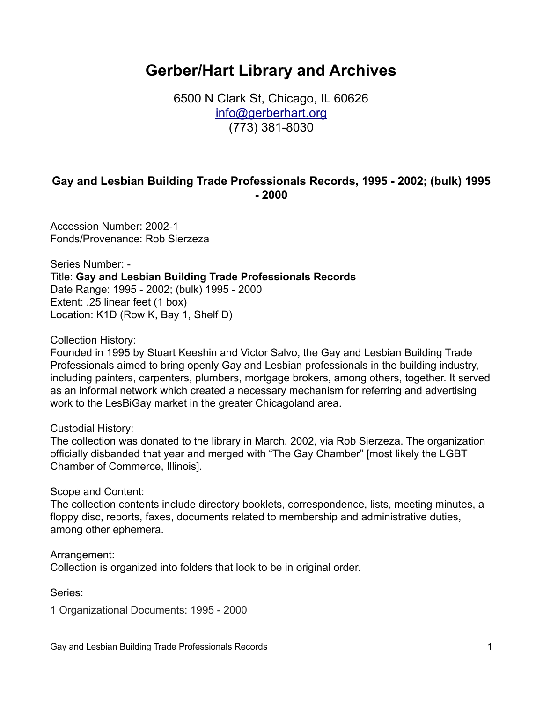## **Gerber/Hart Library and Archives**

6500 N Clark St, Chicago, IL 60626 [info@gerberhart.org](mailto:info@gerberhart.org) (773) 381-8030

## **Gay and Lesbian Building Trade Professionals Records, 1995 - 2002; (bulk) 1995 - 2000**

Accession Number: 2002-1 Fonds/Provenance: Rob Sierzeza

Series Number: - Title: **Gay and Lesbian Building Trade Professionals Records** Date Range: 1995 - 2002; (bulk) 1995 - 2000 Extent: .25 linear feet (1 box) Location: K1D (Row K, Bay 1, Shelf D)

Collection History:

Founded in 1995 by Stuart Keeshin and Victor Salvo, the Gay and Lesbian Building Trade Professionals aimed to bring openly Gay and Lesbian professionals in the building industry, including painters, carpenters, plumbers, mortgage brokers, among others, together. It served as an informal network which created a necessary mechanism for referring and advertising work to the LesBiGay market in the greater Chicagoland area.

Custodial History:

The collection was donated to the library in March, 2002, via Rob Sierzeza. The organization officially disbanded that year and merged with "The Gay Chamber" [most likely the LGBT Chamber of Commerce, Illinois].

Scope and Content:

The collection contents include directory booklets, correspondence, lists, meeting minutes, a floppy disc, reports, faxes, documents related to membership and administrative duties, among other ephemera.

Arrangement: Collection is organized into folders that look to be in original order.

Series:

1 Organizational Documents: 1995 - 2000

Gay and Lesbian Building Trade Professionals Records 1